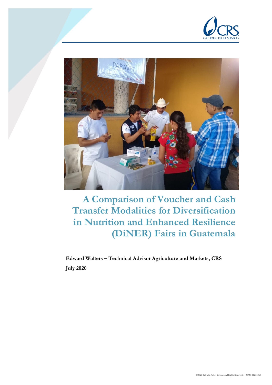



**A Comparison of Voucher and Cash Transfer Modalities for Diversification in Nutrition and Enhanced Resilience (DiNER) Fairs in Guatemala**

**Edward Walters – Technical Advisor Agriculture and Markets, CRS July 2020**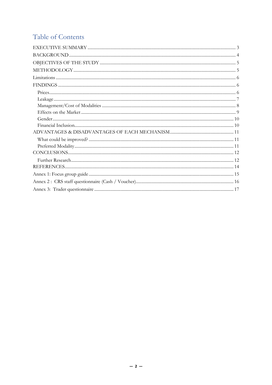# Table of Contents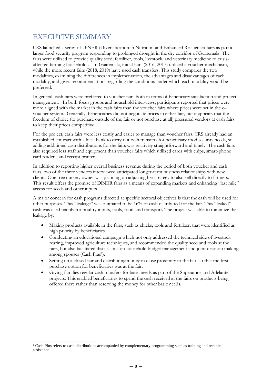# <span id="page-2-0"></span>EXECUTIVE SUMMARY

CRS launched a series of DiNER (Diversification in Nutrition and Enhanced Resilience) fairs as part a larger food security program responding to prolonged drought in the dry corridor of Guatemala. The fairs were utilized to provide quality seed, fertilizer, tools, livestock, and veterinary medicine to crisisaffected farming households. In Guatemala, initial fairs (2016, 2017) utilized a voucher mechanism, while the more recent fairs (2018, 2019) have used cash transfers. This study compares the two modalities, examining the differences in implementation, the advantages and disadvantages of each modality, and gives recommendations regarding the conditions under which each modality would be preferred.

In general, cash fairs were preferred to voucher fairs both in terms of beneficiary satisfaction and project management. In both focus groups and household interviews, participants reported that prices were more aligned with the market in the cash fairs than the voucher fairs where prices were set in the evoucher system. Generally, beneficiaries did not negotiate prices in either fair, but it appears that the freedom of choice (to purchase outside of the fair or not purchase at all) pressured vendors at cash fairs to keep their prices competitive.

For the project, cash fairs were less costly and easier to manage than voucher fairs. CRS already had an established contract with a local bank to carry out cash transfers for beneficiary food security needs, so adding additional cash distributions for the fairs was relatively straightforward and timely. The cash fairs also required less staff and equipment than voucher fairs which utilized cards with chips, smart-phone card readers, and receipt printers.

In addition to reporting higher overall business revenue during the period of both voucher and cash fairs, two of the three vendors interviewed anticipated longer-term business relationships with new clients. One tree nursery owner was planning on adjusting her strategy to also sell directly to farmers. This result offers the promise of DiNER fairs as a means of expanding markets and enhancing "last mile" access for seeds and other inputs.

A major concern for cash programs directed at specific sectoral objectives is that the cash will be used for other purposes. This "leakage" was estimated to be 16% of cash distributed for the fair. This "leaked" cash was used mainly for poultry inputs, tools, food, and transport. The project was able to minimize the leakage by:

- Making products available in the fairs, such as chicks, tools and fertilizer, that were identified as high priority by beneficiaries.
- Conducting an educational campaign which not only addressed the technical side of livestock rearing, improved agriculture techniques, and recommended the quality seed and tools at the fairs, but also facilitated discussions on household budget management and joint decision making among spouses (Cash Plus<sup>1</sup>).
- Setting up a closed fair and distributing money in close proximity to the fair, so that the first purchase option for beneficiaries was at the fair.
- Giving families regular cash transfers for basic needs as part of the Superamos and Adelante projects. This enabled beneficiaries to spend the cash received at the fairs on products being offered there rather than reserving the money for other basic needs.

<sup>1</sup> Cash Plus refers to cash distributions accompanied by complementary programming such as training and technical assistance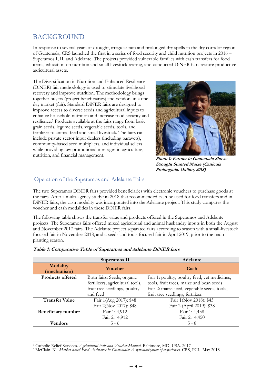## <span id="page-3-0"></span>**BACKGROUND**

In response to several years of drought, irregular rain and prolonged dry spells in the dry corridor region of Guatemala, CRS launched the first in a series of food security and child nutrition projects in 2016 – Superamos I, II, and Adelante. The projects provided vulnerable families with cash transfers for food items, education on nutrition and small livestock rearing, and conducted DiNER fairs restore productive agricultural assets.

The Diversification in Nutrition and Enhanced Resilience (DiNER) fair methodology is used to stimulate livelihood recovery and improve nutrition. The methodology brings together buyers (project beneficiaries) and vendors in a oneday market (fair). Standard DiNER fairs are designed to improve access to diverse seeds and agricultural inputs to enhance household nutrition and increase food security and resilience.<sup>2</sup> Products available at the fairs range from basic grain seeds, legume seeds, vegetable seeds, tools, and fertilizer to animal feed and small livestock. The fairs can include private sector input dealers (including paravets), community-based seed multipliers, and individual sellers while providing key promotional messages in agriculture, nutrition, and financial management.



**Photo 1: Farmer in Guatemala Shows Drought Stunted Maize (Canicula Prolongada. Oxfam, 2018)**

### Operation of the Superamos and Adelante Fairs

The two Superamos DiNER fairs provided beneficiaries with electronic vouchers to purchase goods at the fairs. After a multi-agency study<sup>3</sup> in 2018 that recommended cash be used for food transfers and in DiNER fairs, the cash modality was incorporated into the Adelante project. This study compares the voucher and cash modalities in these DiNER fairs.

The following table shows the transfer value and products offered in the Superamos and Adelante projects. The Superamos fairs offered mixed agricultural and animal husbandry inputs in both the August and November 2017 fairs. The Adelante project separated fairs according to season with a small-livestock focused fair in November 2018, and a seeds and tools focused fair in April 2019, prior to the main planting season.

|                                | Superamos II                     | Adelante                                      |
|--------------------------------|----------------------------------|-----------------------------------------------|
| <b>Modality</b><br>(mechanism) | <b>Voucher</b>                   | Cash                                          |
| <b>Products offered</b>        | Both fairs: Seeds, organic       | Fair 1: poultry, poultry feed, vet medicines, |
|                                | fertilizers, agricultural tools, | tools, fruit trees, maize and bean seeds      |
|                                | fruit tree seedlings, poultry    | Fair 2: maize seed, vegetable seeds, tools,   |
|                                | and feed                         | fruit tree seedlings, fertilizer              |
| <b>Transfer Value</b>          | Fair 1(Aug 2017): \$48           | Fair 1(Nov 2018): \$45                        |
|                                | Fair 2(Nov 2017): \$48           | Fair 2 (April 2019): \$38                     |
| Beneficiary number             | Fair 1: 4,912                    | Fair 1: 4,438                                 |
|                                | Fair 2: 4,912                    | Fair 2: 4,450                                 |
| Vendors                        | $5 - 6$                          | $5 - 8$                                       |

|  | Table 1: Comparative Table of Superamos and Adelante DiNER fairs |  |
|--|------------------------------------------------------------------|--|
|  |                                                                  |  |

<sup>2</sup> Catholic Relief Services. *Agricultural Fair and Voucher Manual*. Baltimore, MD, USA. 2017

<sup>3</sup> McClain, K. *Market-based Food Assistance in Guatemala: A systematization of experiences.* CRS, PCI. May 2018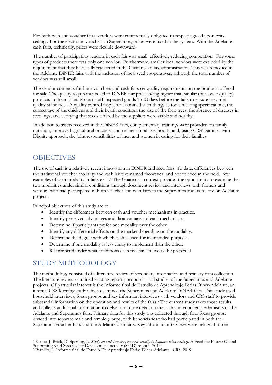For both cash and voucher fairs, vendors were contractually obligated to respect agreed upon price ceilings. For the electronic vouchers in Superamos, prices were fixed in the system. With the Adelante cash fairs, technically, prices were flexible downward.

The number of participating vendors in each fair was small, effectively reducing competition. For some types of products there was only one vendor. Furthermore, smaller local vendors were excluded by the requirement that they be fiscally registered in the Guatemalan tax administration. This was remedied in the Adelante DiNER fairs with the inclusion of local seed cooperatives, although the total number of vendors was still small.

The vendor contracts for both vouchers and cash fairs set quality requirements on the products offered for sale. The quality requirements led to DiNER fair prices being higher than similar (but lower quality) products in the market. Project staff inspected goods 15-20 days before the fairs to ensure they met quality standards. A quality control inspector examined such things as tools meeting specifications, the correct age of the chickens and their health condition, the size of the fruit trees, the absence of diseases in seedlings, and verifying that seeds offered by the suppliers were viable and healthy.

In addition to assets received in the DiNER fairs, complementary trainings were provided on family nutrition, improved agricultural practices and resilient rural livelihoods, and, using CRS' Families with Dignity approach, the joint responsibilities of men and women in caring for their families.

### <span id="page-4-0"></span>**OBJECTIVES**

The use of cash is a relatively recent innovation in DiNER and seed fairs. To date, differences between the traditional voucher modality and cash have remained theoretical and not verified in the field. Few examples of cash modality in fairs exist. <sup>4</sup> The Guatemala context provides the opportunity to examine the two modalities under similar conditions through document review and interviews with farmers and vendors who had participated in both voucher and cash fairs in the Superamos and its follow-on Adelante projects.

Principal objectives of this study are to:

- Identify the differences between cash and voucher mechanisms in practice.
- Identify perceived advantages and disadvantages of each mechanism.
- Determine if participants prefer one modality over the other.
- Identify any differential effects on the market depending on the modality.
- Determine the degree with which cash is used for its intended purpose.
- Determine if one modality is less costly to implement than the other.
- Recommend under what conditions each mechanism would be preferred.

### <span id="page-4-1"></span>STUDY METHODOLOGY

The methodology consisted of a literature review of secondary information and primary data collection. The literature review examined existing reports, proposals, and studies of the Superamos and Adelante projects. Of particular interest is the Informe final de Estudio de Aprendizaje Ferias Diner-Adelante, an internal CRS learning study which examined the Superamos and Adelante DiNER fairs. This study used household interviews, focus groups and key informant interviews with vendors and CRS staff to provide substantial information on the operation and results of the fairs.<sup>5</sup> The current study takes those results and collects additional information to delve into more detail on the cash and voucher mechanisms of the Adelante and Superamos fairs. Primary data for this study was collected through four focus groups, divided into separate male and female groups, with beneficiaries who had participated in both the Superamos voucher fairs and the Adelante cash fairs. Key informant interviews were held with three

<sup>4</sup> Keane, J, Brick, D. Sperling, L. *Study on cash transfers for seed security in humanitarian settings*. A Feed the Future Global Supporting Seed Systems for Development activity (S34D) report. 2019.

<sup>5</sup> Pernillo, J. Informe final de Estudio De Aprendizaje Ferias Diner-Adelante. CRS. 2019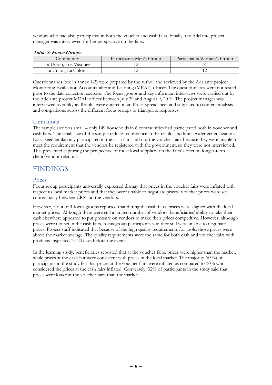vendors who had also participated in both the voucher and cash fairs. Finally, the Adelante project manager was interviewed for her perspective on the fairs.

#### **Table 2: Focus Groups**

| Community             | Participants Men's Group | Participants Women's Group |
|-----------------------|--------------------------|----------------------------|
| La Unión, Los Vasquez |                          |                            |
| La Unión, La Colonia  |                          |                            |

Questionnaires (see in annex 1-3) were prepared by the author and reviewed by the Adelante project Monitoring Evaluation Accountability and Learning (MEAL) officer. The questionnaires were not tested prior to the data collection exercise. The focus groups and key informant interviews were carried out by the Adelante project MEAL officer between July 29 and August 9, 2019. The project manager was interviewed over Skype. Results were entered in an Excel spreadsheet and subjected to content analysis and comparisons across the different focus groups to triangulate responses.

#### <span id="page-5-0"></span>Limitations

The sample size was small – only 149 households in 6 communities had participated both in voucher and cash fairs. The small size of the sample reduces confidence in the results and limits wider generalization. Local seed banks only participated in the cash fairs and not the voucher fairs because they were unable to meet the requirement that the vendors be registered with the government, so they were not interviewed. This prevented capturing the perspective of most local suppliers on the fairs' effect on longer-term client/vendor relations.

### <span id="page-5-1"></span>**FINDINGS**

#### <span id="page-5-2"></span>Prices

Focus group participants universally expressed dismay that prices in the voucher fairs were inflated with respect to local market prices and that they were unable to negotiate prices. Voucher prices were set contractually between CRS and the vendors.

However, 3 out of 4 focus groups reported that during the cash fairs, prices were aligned with the local market prices. Although there were still a limited number of vendors, beneficiaries' ability to take their cash elsewhere appeared to put pressure on vendors to make their prices competitive. However, although prices were not set in the cash fairs, focus group participants said they still were unable to negotiate prices. Project staff indicated that because of the high quality requirements for tools, those prices were above the market average. The quality requirements were the same for both cash and voucher fairs with products inspected 15-20 days before the event.

In the learning study, beneficiaries reported that at the voucher fairs, prices were higher than the market, while prices at the cash fair were consistent with prices in the local market. The majority (63%) of participants in the study felt that prices at the voucher fairs were inflated as compared to 30% who considered the prices at the cash fairs inflated. Conversely, 32% of participants in the study said that prices were lower at the voucher fairs than the market.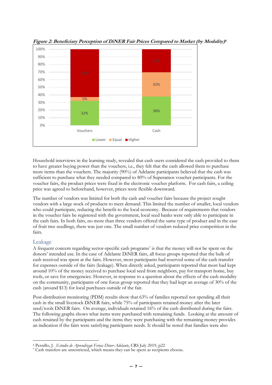

**Figure 2: Beneficiary Perception of DiNER Fair Prices Compared to Market (by Modality) 6**

Household interviews in the learning study, revealed that cash users considered the cash provided to them to have greater buying power than the vouchers, i.e., they felt that the cash allowed them to purchase more items than the vouchers. The majority (90%) of Adelante participants believed that the cash was sufficient to purchase what they needed compared to 80% of Superamos voucher participants. For the voucher fairs, the product prices were fixed in the electronic voucher platform. For cash fairs, a ceiling price was agreed to beforehand, however, prices were flexible downward.

The number of vendors was limited for both the cash and voucher fairs because the project sought vendors with a large stock of products to meet demand. This limited the number of smaller, local vendors who could participate, reducing the benefit to the local economy. Because of requirements that vendors in the voucher fairs be registered with the government, local seed banks were only able to participate in the cash fairs. In both fairs, no more than three vendors offered the same type of product and in the case of fruit tree seedlings, there was just one. The small number of vendors reduced price competition in the fairs.

### <span id="page-6-0"></span>Leakage

A frequent concern regarding sector-specific cash programs<sup>7</sup> is that the money will not be spent on the donors' intended use. In the case of Adelante DiNER fairs, all focus groups reported that the bulk of cash received was spent at the fairs. However, most participants had reserved some of the cash transfer for expenses outside of the fairs (leakage). When directly asked, participants reported that most had kept around 10% of the money received to purchase local seed from neighbors, pay for transport home, buy tools, or save for emergencies. However, in response to a question about the effects of the cash modality on the community, participants of one focus group reported that they had kept an average of 30% of the cash (around \$13) for local purchases outside of the fair.

Post-distribution monitoring (PDM) results show that 63% of families reported not spending all their cash in the small livestock DiNER fairs, while 75% of participants retained money after the later seed/tools DiNER fairs. On average, individuals retained 16% of the cash distributed during the fairs. The following graphs shows what items were purchased with remaining funds. Looking at the amount of cash retained by the participants and the items they were purchasing with the remaining money provides an indication if the fairs were satisfying participants needs. It should be noted that families were also

<sup>6</sup> Pernillo, J. *Estudio de Aprendizaje Ferias Diner-Adelante*, CRS July 2019, p22

<sup>7</sup> Cash transfers are unrestricted, which means they can be spent as recipients choose.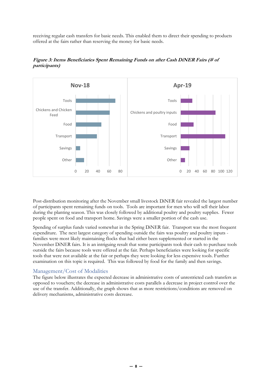receiving regular cash transfers for basic needs. This enabled them to direct their spending to products offered at the fairs rather than reserving the money for basic needs.



**Figure 3: Items Beneficiaries Spent Remaining Funds on after Cash DiNER Fairs (# of participants)**

Post-distribution monitoring after the November small livestock DiNER fair revealed the largest number of participants spent remaining funds on tools. Tools are important for men who will sell their labor during the planting season. This was closely followed by additional poultry and poultry supplies. Fewer people spent on food and transport home. Savings were a smaller portion of the cash use.

Spending of surplus funds varied somewhat in the Spring DiNER fair. Transport was the most frequent expenditure. The next largest category of spending outside the fairs was poultry and poultry inputs families were most likely maintaining flocks that had either been supplemented or started in the November DiNER fairs. It is an intriguing result that some participants took their cash to purchase tools outside the fairs because tools were offered at the fair. Perhaps beneficiaries were looking for specific tools that were not available at the fair or perhaps they were looking for less expensive tools. Further examination on this topic is required. This was followed by food for the family and then savings.

### <span id="page-7-0"></span>Management/Cost of Modalities

The figure below illustrates the expected decrease in administrative costs of unrestricted cash transfers as opposed to vouchers; the decrease in administrative costs parallels a decrease in project control over the use of the transfer. Additionally, the graph shows that as more restrictions/conditions are removed on delivery mechanisms, administrative costs decrease.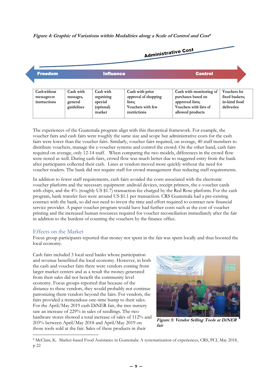#### **Figure 4: Graphic of Variations within Modalities along a Scale of Control and Cost 8**



The experiences of the Guatemala program align with this theoretical framework. For example, the voucher fairs and cash fairs were roughly the same size and scope but administrative costs for the cash fairs were lower than the voucher fairs. Similarly, voucher fairs required, on average, 40 staff members to distribute vouchers, manage the e-voucher systems and control the crowd. On the other hand, cash fairs required on average, only 12-14 staff. When comparing the two models, differences in the crowd flow were noted as well. During cash fairs, crowd flow was much better due to staggered entry from the bank after participants collected their cash. Lines at vendors moved more quickly without the need for voucher readers. The bank did not require staff for crowd management thus reducing staff requirements.

In addition to fewer staff requirements, cash fairs avoided the costs associated with the electronic voucher platform and the necessary equipment: android devices, receipt printers, the e-voucher cards with chips, and the 4% (roughly US \$1.7) transaction fee charged by the Red Rose platform. For the cash program, bank transfer fees were around US \$1.1 per transaction. CRS Guatemala had a pre-existing contract with the bank, so did not need to invest the time and effort required to contract new financial service provider. A paper voucher program would have had further costs such as the cost of voucher printing and the increased human resources required for voucher reconciliation immediately after the fair in addition to the burdens of counting the vouchers by the finance office.

### <span id="page-8-0"></span>Effects on the Market

Focus group participants reported that money not spent in the fair was spent locally and thus boosted the local economy.

Cash fairs included 3 local seed banks whose participation and revenue benefitted the local economy. However, in both the cash and voucher fairs there were vendors coming from larger market centers and as a result the money generated from their sales did not benefit the community level economy. Focus groups reported that because of the distance to these vendors, they would probably not continue patronizing them vendors beyond the fairs. For vendors, the fairs provided a tremendous one-time bump to their sales. For the April/May 2019 cash DiNER fair, the tree nursery saw an increase of 229% in sales of seedlings. The two hardware stores showed a total increase of sales of 112% and 203% between April/May 2018 and April/May 2019 on those tools sold at the fair. Sales of these products in their



**Figure 5: Vendor Selling Tools at DiNER fair**

<sup>8</sup> McClain, K. Market-based Food Assistance in Guatemala: A systematization of experiences, CRS, PCI, May 2018, p 22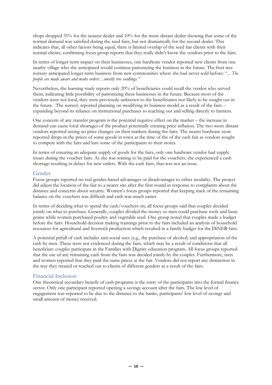shops dropped 31% for the nearest dealer and 10% for the more distant dealer showing that some of the normal demand was satisfied during the seed fairs, but not dramatically for the second dealer. This indicates that, all other factors being equal, there is limited overlap of the seed fair clients with their normal clients, confirming focus group reports that they really didn't know the vendors prior to the fairs.

In terms of longer-term impact on their businesses, one hardware vendor reported new clients from one nearby village who she anticipated would continue patronizing the business in the future. The fruit tree nursery anticipated longer-term business from new communities where she had never sold before: "... *The people are made aware and make orders…mostly tree seedlings."* 

Nevertheless, the learning study reports only 20% of beneficiaries could recall the vendor who served them, indicating little possibility of patronizing these businesses in the future. Because most of the vendors were not local, they were previously unknown to the beneficiaries nor likely to be sought out in the future. The nursery reported planning on modifying its business model as a result of the fairs – expanding beyond its reliance on institutional purchases to reaching out and selling directly to farmers.

One concern of any transfer program is the potential negative effect on the market – the increase in demand can cause local shortages of the product potentially creating price inflation. The two more distant vendors reported seeing no price changes on their markets during the fairs. The nearer hardware store reported drops in the prices of some goods in town at the time of the of the cash fair as vendors sought to compete with the fairs and lure some of the participants to their stores.

In terms of ensuring an adequate supply of goods for the fairs, only one hardware vendor had supply issues during the voucher fairs. As she was waiting to be paid for the vouchers, she experienced a cash shortage resulting in delays for new orders. With the cash fairs, that was not an issue.

### <span id="page-9-0"></span>Gender

Focus groups reported no real gender-based advantages or disadvantages to either modality. The project did adjust the location of the fair to a nearer site after the first round in response to complaints about the distance and concerns about security. Women's focus groups reported that keeping track of the remaining balance on the vouchers was difficult and cash was much easier.

In terms of deciding what to spend the cash/vouchers on, all focus groups said that couples decided jointly on what to purchase. Generally, couples divided the money so men could purchase tools and basic grains while women purchased poultry and vegetable seed. One group noted that couples made a budget before the fairs. Household decision making trainings prior to the fairs included an analysis of household resources for agricultural and livestock production which resulted in a family budget for the DiNER fairs.

A potential pitfall of cash includes anti-social uses (e.g., the purchase of alcohol) and appropriation of the cash by men. These were not evidenced during the fairs, which may be a result of conditions that all beneficiary couples participate in the Families with Dignity education program. All focus groups reported that the use of any remaining cash from the fairs was decided jointly by the couples. Furthermore, men and women reported that they paid the same prices at the fair. Vendors did not report any distinction in the way they treated or reached out to clients of different genders as a result of the fairs.

### <span id="page-9-1"></span>Financial Inclusion

One theoretical secondary benefit of cash programs is the entry of the participants into the formal finance sector. Only one participant reported opening a savings account after the fairs. The low level of engagement was reported to be due to the distance to the banks, participants' low level of savings and small amount of money received.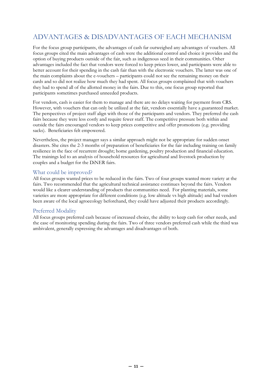# <span id="page-10-0"></span>ADVANTAGES & DISADVANTAGES OF EACH MECHANISM

For the focus group participants, the advantages of cash far outweighed any advantages of vouchers. All focus groups cited the main advantages of cash were the additional control and choice it provides and the option of buying products outside of the fair, such as indigenous seed in their communities. Other advantages included the fact that vendors were forced to keep prices lower, and participants were able to better account for their spending in the cash fair than with the electronic vouchers. The latter was one of the main complaints about the e-vouchers – participants could not see the remaining money on their cards and so did not realize how much they had spent. All focus groups complained that with vouchers they had to spend all of the allotted money in the fairs. Due to this, one focus group reported that participants sometimes purchased unneeded products.

For vendors, cash is easier for them to manage and there are no delays waiting for payment from CRS. However, with vouchers that can only be utilized at the fair, vendors essentially have a guaranteed market. The perspectives of project staff align with those of the participants and vendors. They preferred the cash fairs because they were less costly and require fewer staff. The competitive pressure both within and outside the fairs encouraged vendors to keep prices competitive and offer promotions (e.g. providing sacks). Beneficiaries felt empowered.

Nevertheless, the project manager says a similar approach might not be appropriate for sudden onset disasters. She cites the 2-3 months of preparation of beneficiaries for the fair including training on family resilience in the face of recurrent drought; home gardening, poultry production and financial education. The trainings led to an analysis of household resources for agricultural and livestock production by couples and a budget for the DiNER fairs.

### <span id="page-10-1"></span>What could be improved?

All focus groups wanted prices to be reduced in the fairs. Two of four groups wanted more variety at the fairs. Two recommended that the agricultural technical assistance continues beyond the fairs. Vendors would like a clearer understanding of products that communities need. For planting materials, some varieties are more appropriate for different conditions (e.g. low altitude vs high altitude) and had vendors been aware of the local agroecology beforehand, they could have adjusted their products accordingly.

### <span id="page-10-2"></span>Preferred Modality

All focus groups preferred cash because of increased choice, the ability to keep cash for other needs, and the ease of monitoring spending during the fairs. Two of three vendors preferred cash while the third was ambivalent, generally expressing the advantages and disadvantages of both.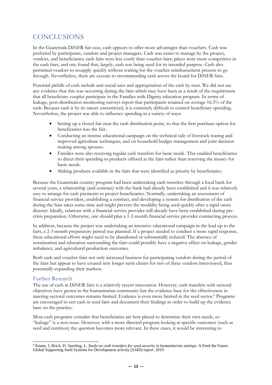# <span id="page-11-0"></span>**CONCLUSIONS**

In the Guatemala DiNER fair case, cash appears to offer more advantages than vouchers. Cash was preferred by participants, vendors and project managers. Cash was easier to manage by the project, vendors, and beneficiaries; cash fairs were less costly than voucher fairs; prices were more competitive in the cash fairs, and one found that, largely, cash was being used for its intended purpose. Cash also permitted vendors to resupply quickly without waiting for the voucher reimbursement process to go through. Nevertheless, there are caveats to recommending cash across the board for DiNER fairs.

Potential pitfalls of cash include anti-social uses and appropriation of the cash by men. We did not see any evidence that this was occurring during the fairs which may have been as a result of the requirement that all beneficiary couples participate in the Families with Dignity education program. In terms of leakage, post-distribution monitoring surveys report that participants retained on average 16.5% of the cash. Because cash is by its nature unrestricted, it is extremely difficult to control beneficiary spending. Nevertheless, the project was able to influence spending in a variety of ways:

- Setting up a closed fair near the cash distribution point, so that the first purchase option for beneficiaries was the fair.
- Conducting an intense educational campaign on the technical side of livestock rearing and improved agriculture techniques, and on household budget management and joint decision making among spouses.
- Families were also receiving regular cash transfers for basic needs. This enabled beneficiaries to direct their spending to products offered at the fairs rather than reserving the money for basic needs.
- Making products available in the fairs that were identified as priority by beneficiaries.

Because the Guatemala country program had been undertaking cash transfers through a local bank for several years, a relationship (and contract) with the bank had already been established and it was relatively easy to arrange for cash payments to project beneficiaries. Normally, undertaking an assessment of financial service providers, establishing a contract, and developing a system for distribution of the cash during the fairs takes some time and might prevent the modality being used quickly after a rapid onset disaster. Ideally, relations with a financial service provider will already have been established during precrisis preparation. Otherwise, one should plan a 1-2-month financial service provider contracting process.

In addition, because the project was undertaking an intensive educational campaign in the lead up to the fairs, a 2-3-month preparatory period was planned. If a project needed to conduct a more rapid response, these educational efforts might need to be abandoned or substantially reduced. The absence of sensitization and education surrounding the fairs could possibly have a negative effect on leakage, gender imbalance, and agricultural production outcomes.

Both cash and voucher fairs not only increased business for participating vendors during the period of the fairs but appear to have created new longer-term clients for two of three vendors interviewed, thus potentially expanding their markets.

### <span id="page-11-1"></span>Further Research

The use of cash in DiNER fairs is a relatively recent innovation. However, cash transfers with sectoral objectives have grown in the humanitarian community but the evidence base for the effectiveness in meeting sectoral outcomes remains limited. Evidence is even more limited in the seed sector.<sup>9</sup> Programs are encouraged to test cash in seed fairs and document their findings in order to build up the evidence base on the practice.

Most cash programs consider that beneficiaries are best placed to determine their own needs, so "leakage" is a non-issue. However, with a more directed program looking at specific outcomes (such as seed and nutrition) the question becomes more relevant. In these cases, it would be interesting to

<sup>9</sup> Keane, J, Brick, D. Sperling, L. *Study on cash transfers for seed security in humanitarian settings*. A Feed the Future Global Supporting Seed Systems for Development activity (S34D) report. 2019.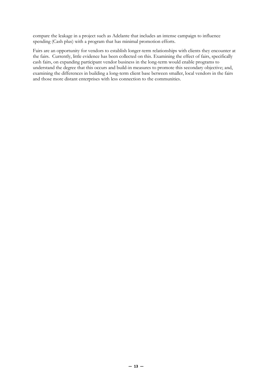compare the leakage in a project such as Adelante that includes an intense campaign to influence spending (Cash plus) with a program that has minimal promotion efforts.

Fairs are an opportunity for vendors to establish longer-term relationships with clients they encounter at the fairs. Currently, little evidence has been collected on this. Examining the effect of fairs, specifically cash fairs, on expanding participant vendor business in the long-term would enable programs to understand the degree that this occurs and build-in measures to promote this secondary objective; and, examining the differences in building a long-term client base between smaller, local vendors in the fairs and those more distant enterprises with less connection to the communities.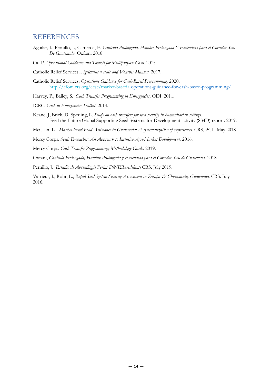### <span id="page-13-0"></span>REFERENCES

- Aguilar, I., Pernillo, J., Cameros, E. *Canícula Prolongada, Hambre Prolongada Y Extendida para el Corredor Seco De Guatemala*. Oxfam. 2018
- CaLP. *Operational Guidance and Toolkit for Multipurpose Cash*. 2015.

Catholic Relief Services. *Agricultural Fair and Voucher Manual*. 2017.

Catholic Relief Services. *Operations Guidance for Cash-Based Programming.* 2020. <http://efom.crs.org/ecsc/market-based/> [operations-guidance-for-cash-based-programming/](http://efom.crs.org/ecsc/market-based/operations-guidance-for-cash-based-programming/)

Harvey, P., Bailey, S. *Cash Transfer Programming in Emergencies*, ODI. 2011.

- ICRC. *Cash in Emergencies Toolkit*. 2014.
- Keane, J, Brick, D. Sperling, L. *Study on cash transfers for seed security in humanitarian settings*. Feed the Future Global Supporting Seed Systems for Development activity (S34D) report. 2019.
- McClain, K. *Market-based Food Assistance in Guatemala: A systematization of experiences.* CRS, PCI. May 2018.

Mercy Corps. *Seeds E-voucher: An Approach to Inclusive Agri-Market Development.* 2016.

Mercy Corps. *Cash Transfer Programming: Methodology Guide.* 2019.

Oxfam, *Canícula Prolongada, Hambre Prolongada y Extendida para el Corredor Seco de Guatemala*. 2018

Pernillo, J. *Estudio de Aprendizaje Ferias DiNER-Adelante* CRS. July 2019.

Varrieur, J., Rohr, L., *Rapid Seed System Security Assessment in Zacapa & Chiquimula, Guatemala.* CRS. July 2016.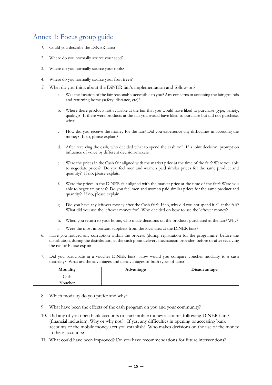### <span id="page-14-0"></span>Annex 1: Focus group guide

- *1.* Could you describe the DiNER fairs?
- 2. Where do you normally source your seed?
- 3. Where do you normally source your tools?
- 4. Where do you normally source your fruit trees?
- *5.* What do you think about the DiNER fair's implementation and follow-on?
	- Was the location of the fair reasonably accessible to you? Any concerns in accessing the fair grounds and returning home (safety, distance, etc)?
	- b. Where there products not available at the fair that you would have liked to purchase (type, variety, quality)? If there were products at the fair you would have liked to purchase but did not purchase, why?
	- c. How did you receive the money for the fair? Did you experience any difficulties in accessing the money? If so, please explain?
	- d. After receiving the cash, who decided what to spend the cash on? If a joint decision, prompt on influence of voice by different decision-makers
	- e. Were the prices in the Cash fair aligned with the market price at the time of the fair? Were you able to negotiate prices? Do you feel men and women paid similar prices for the same product and quantity? If no, please explain.
	- f. Were the prices in the DiNER fair aligned with the market price at the time of the fair? Were you able to negotiate prices? Do you feel men and women paid similar prices for the same product and quantity? If no, please explain.
	- g. Did you have any leftover money after the Cash fair? If so, why did you not spend it all at the fair? What did you use the leftover money for? Who decided on how to use the leftover money?
	- h. When you return to your home, who made decisions on the products purchased at the fair? Why?
	- Were the most important suppliers from the local area at the DiNER fairs?
- 6. Have you noticed any corruption within the process (during registration for the programme, before the distribution, during the distribution, at the cash point delivery mechanism provider, before or after receiving the cash)? Please explain.
- 7. Did you participate in a voucher DiNER fair? How would you compare voucher modality to a cash modality? What are the advantages and disadvantages of both types of fairs?

| Modality | Advantage | Disadvantage |
|----------|-----------|--------------|
| Cash     |           |              |
| √oucher  |           |              |

- 8. Which modality do you prefer and why?
- 9. What have been the effects of the cash program on you and your community?
- 10. Did any of you open bank accounts or start mobile money accounts following DiNER fairs? (financial inclusion). Why or why not? If yes, any difficulties in opening or accessing bank accounts or the mobile money acct you establish? Who makes decisions on the use of the money in these accounts?
- **11.** What could have been improved? Do you have recommendations for future interventions?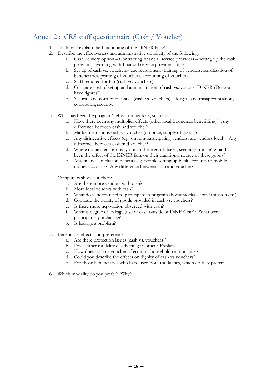# <span id="page-15-0"></span>Annex 2 : CRS staff questionnaire (Cash / Voucher)

- 1. Could you explain the functioning of the DiNER fairs?
- 2. Describe the effectiveness and administrative simplicity of the following:
	- a. Cash delivery option Contracting financial service providers setting up the cash program – working with financial service providers, other
	- b. Set up of cash vs. vouchers– e.g. recruitment/training of vendors, sensitization of beneficiaries, printing of vouchers, accounting of vouchers.
	- c. Staff required for fair (cash vs. vouchers)
	- d. Compare cost of set up and administration of cash vs. voucher DiNER (Do you have figures?)
	- e. Security and corruption issues (cash vs. vouchers) forgery and misappropriation, corruption, security.
- 3. What has been the program's effect on markets, such as:
	- a. Have there been any multiplier effects (other local businesses benefitting)? Any difference between cash and voucher?
	- b. Market distortions cash vs voucher (on price, supply of goods)?
	- c. Any disincentive effects (e.g. on non-participating vendors, are vendors local)? Any difference between cash and voucher?
	- d. Where do farmers normally obtain these goods (seed, seedlings, tools)? What has been the effect of the DiNER fairs on their traditional source of these goods?
	- e. Any financial inclusion benefits e.g. people setting up bank accounts or mobile money accounts? Any difference between cash and voucher?
- 4. Compare cash vs. vouchers:
	- a. Are there more vendors with cash?
	- b. More local vendors with cash?
	- c. What do vendors need to participate in program (boost stocks, capital infusion etc.)
	- d. Compare the quality of goods provided in cash vs. vouchers?
	- e. Is there more negotiation observed with cash?
	- f. What is degree of leakage (use of cash outside of DiNER fair)? What were participants purchasing?
	- g. Is leakage a problem?
- 5. Beneficiary effects and preferences
	- a. Are there protection issues (cash vs. vouchers)?
	- b. Does either modality disadvantage women? Explain.
	- c. How does cash or voucher affect intra-household relationships?
	- d. Could you describe the effects on dignity of cash vs vouchers?
	- e. For those beneficiaries who have used both modalities, which do they prefer?
- **6.** Which modality do you prefer? Why?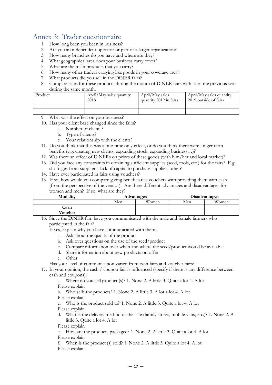## <span id="page-16-0"></span>Annex 3: Trader questionnaire

- 1. How long been you been in business?
- 2. Are you an independent operator or part of a larger organization?
- 3. How many branches do you have and where are they?
- 4. What geographical area does your business carry cover?
- 5. What are the main products that you carry?
- 6. How many other traders carrying like goods in your coverage area?
- 7. What products did you sell in the DiNER fairs?
- 8. Compare sales for these products during the month of DiNER fairs with sales the previous year during the same month.

| Product | April/May sales quantity<br>2018 | April/May sales<br>quantity 2019 in fairs | April/May sales quantity<br>2019 outside of fairs |
|---------|----------------------------------|-------------------------------------------|---------------------------------------------------|
|         |                                  |                                           |                                                   |
|         |                                  |                                           |                                                   |

- What was the effect on your business?
- 10. Has your client base changed since the fairs?
	- a. Number of clients?
	- b. Type of clients?
	- c. Your relationship with the clients?
- 11. Do you think that this was a one-time only effect, or do you think there were longer term benefits (e.g. creating new clients, expanding stock, expanding business…)?
- 12. Was there an effect of DiNERs on prices of these goods (with him/her and local market)?
- 13. Did you face any constraints in obtaining sufficient supplies (seed, tools, etc.) for the fairs? E.g. shortages from suppliers, lack of capital to purchase supplies, other?
- 14. Have ever participated in fairs using vouchers?
- 15. If so, how would you compare giving beneficiaries vouchers with providing them with cash (from the perspective of the vendor). Are there different advantages and disadvantages for women and men? If so, what are they?

| Modality | Advantages |       | Disadvantages |       |
|----------|------------|-------|---------------|-------|
|          | Men        | Women | Men           | Women |
| Cash     |            |       |               |       |
| Voucher  |            |       |               |       |

16. Since the DiNER fair, have you communicated with the male and female farmers who participated in the fair?

If yes, explain why you have communicated with them.

- a. Ask about the quality of the product
- b. Ask over questions on the use of the seed/product
- c. Compare information over when and where the seed/product would be available
- d. Share information about new products on offer
- e. Other
- Has your level of communication varied from cash fairs and voucher fairs?
- 17. In your opinion, the cash / coupon fair is influenced (specify if there is any difference between cash and coupons):

a. Where do you sell product (s)? 1. None 2. A little 3. Quite a lot 4. A lot Please explain

b. Who sells the products? 1. None 2. A little 3. A lot a lot 4. A lot Please explain

c. Who is the product sold to? 1. None 2. A little 3. Quite a lot 4. A lot Please explain

d. What is the delivery method of the sale (family stores, mobile vans, etc.)? 1. None 2. A little 3. Quite a lot 4. A lot

Please explain

e. How are the products packaged? 1. None 2. A little 3. Quite a lot 4. A lot Please explain

f. When is the product (s) sold? 1. None 2. A little 3. Quite a lot 4. A lot Please explain